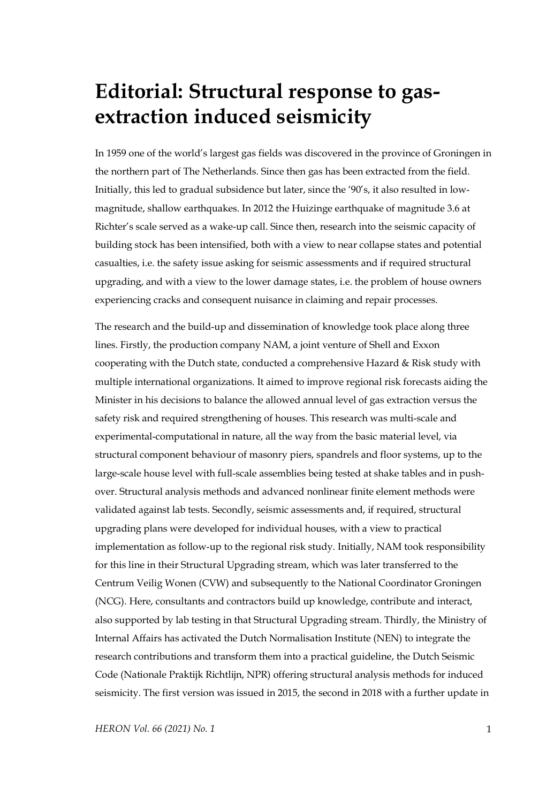## **Editorial: Structural response to gasextraction induced seismicity**

In 1959 one of the world's largest gas fields was discovered in the province of Groningen in the northern part of The Netherlands. Since then gas has been extracted from the field. Initially, this led to gradual subsidence but later, since the '90's, it also resulted in lowmagnitude, shallow earthquakes. In 2012 the Huizinge earthquake of magnitude 3.6 at Richter's scale served as a wake-up call. Since then, research into the seismic capacity of building stock has been intensified, both with a view to near collapse states and potential casualties, i.e. the safety issue asking for seismic assessments and if required structural upgrading, and with a view to the lower damage states, i.e. the problem of house owners experiencing cracks and consequent nuisance in claiming and repair processes.

The research and the build-up and dissemination of knowledge took place along three lines. Firstly, the production company NAM, a joint venture of Shell and Exxon cooperating with the Dutch state, conducted a comprehensive Hazard & Risk study with multiple international organizations. It aimed to improve regional risk forecasts aiding the Minister in his decisions to balance the allowed annual level of gas extraction versus the safety risk and required strengthening of houses. This research was multi-scale and experimental-computational in nature, all the way from the basic material level, via structural component behaviour of masonry piers, spandrels and floor systems, up to the large-scale house level with full-scale assemblies being tested at shake tables and in pushover. Structural analysis methods and advanced nonlinear finite element methods were validated against lab tests. Secondly, seismic assessments and, if required, structural upgrading plans were developed for individual houses, with a view to practical implementation as follow-up to the regional risk study. Initially, NAM took responsibility for this line in their Structural Upgrading stream, which was later transferred to the Centrum Veilig Wonen (CVW) and subsequently to the National Coordinator Groningen (NCG). Here, consultants and contractors build up knowledge, contribute and interact, also supported by lab testing in that Structural Upgrading stream. Thirdly, the Ministry of Internal Affairs has activated the Dutch Normalisation Institute (NEN) to integrate the research contributions and transform them into a practical guideline, the Dutch Seismic Code (Nationale Praktijk Richtlijn, NPR) offering structural analysis methods for induced seismicity. The first version was issued in 2015, the second in 2018 with a further update in